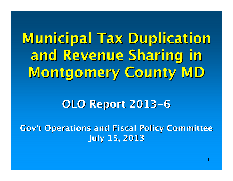Municipal Tax Duplication and Revenue Sharing in Montgomery County MD

#### OLO Report 2013-6

Gov't Operations and Fiscal Policy CommitteeJuly 15, 2013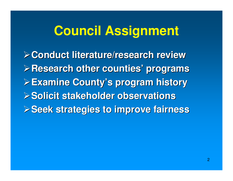# **Council Assignment**

**Conduct literature/research review Research other counties' programsExamine County's program history Solicit stakeholder observationsSeek strategies to improve fairness**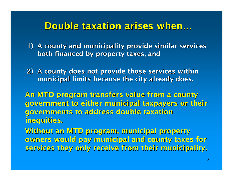### Double taxation arises when…

- 1) A county and municipality provide similar services both financed by property taxes, and
- 2) A county does not provide those services within municipal limits because the city already does.

An MTD program transfers value from a county government to either municipal taxpayers or their governments to address double taxation inequities.

Without an MTD program, municipal property owners would pay municipal and county taxes for services they only receive from their municipality.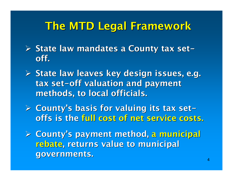# The MTD Legal Framework

- > State law mandates a County tax set<br>eff off.
- State law leaves key design issues, e.g. tax set-off valuation and payment methods, to local officials.
- County's basis for valuing its tax set offs is the full cost of net service costs.

 County's payment method, a municipal rebate, returns value to municipal governments.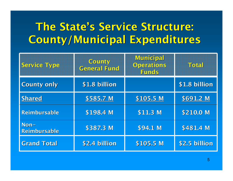# The State's Service Structure:County/Municipal Expenditures

| <b>Service Type</b>    | County<br><b>General Fund</b> | Municipal<br><b>Operations</b><br>Funds | Total         |
|------------------------|-------------------------------|-----------------------------------------|---------------|
| <b>County only</b>     | \$1.8 billion                 |                                         | \$1.8 billion |
| Shared                 | \$585.7 M                     | \$105.5 M                               | \$691.2 M     |
| <b>Reimbursable</b>    | \$198.4 M                     | $$11.3$ M                               | \$210.0 M     |
| $Non-$<br>Reimbursable | \$387.3 M                     | \$94.1 M                                | \$481.4 M     |
| <b>Grand Total</b>     | \$2.4 billion                 | \$105.5 M                               | \$2.5 billion |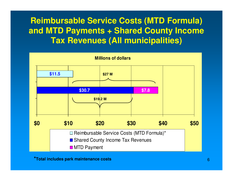### **Reimbursable Service Costs (MTD Formula) and MTD Payments + Shared County Income Tax Revenues (All municipalities)**



**\*Total includes park maintenance costs**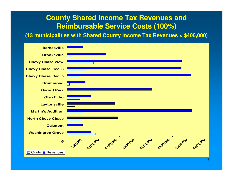#### **County Shared Income Tax Revenues and Reimbursable Service Costs (100%)**

**(13 municipalities with Shared County Income Tax Revenues < \$400,000)**

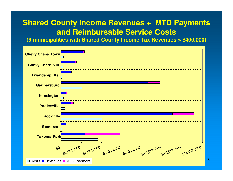### **Shared County Income Revenues + MTD Payments and Reimbursable Service Costs**

**(9 municipalities with Shared County Income Tax Revenues > \$400,000)**

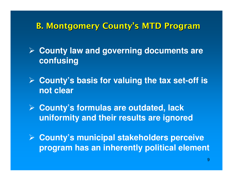### B. Montgomery County's MTD Program

 **County law and governing documents are confusing**

- **County's basis for valuing the tax set-off is not clear**
- **County's formulas are outdated, lack uniformity and their results are ignored**
- **County's municipal stakeholders perceive program has an inherently political element**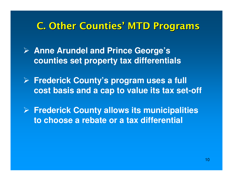### C. Other Counties' MTD Programs

- **Anne Arundel and Prince George's counties set property tax differentials**
- **Frederick County's program uses a full cost basis and a cap to value its tax set-off**
- **Frederick County allows its municipalities to choose a rebate or a tax differential**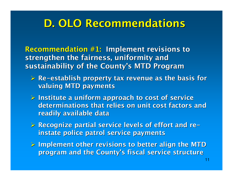# D. OLO Recommendations

Recommendation #1: Implement revisions to strengthen the fairness, uniformity and sustainability of the County's MTD Program

- Re -establish property tax revenue as the basis for valuing MTD payments
- > Institute a uniform approach to cost of service determinations that relies on unit cost factors andreadily available data
- Recognize partial service levels of effort and re instate police patrol service payments
- $\geq$  Implement other revisions to better align the MTD program and the County's fiscal service structure